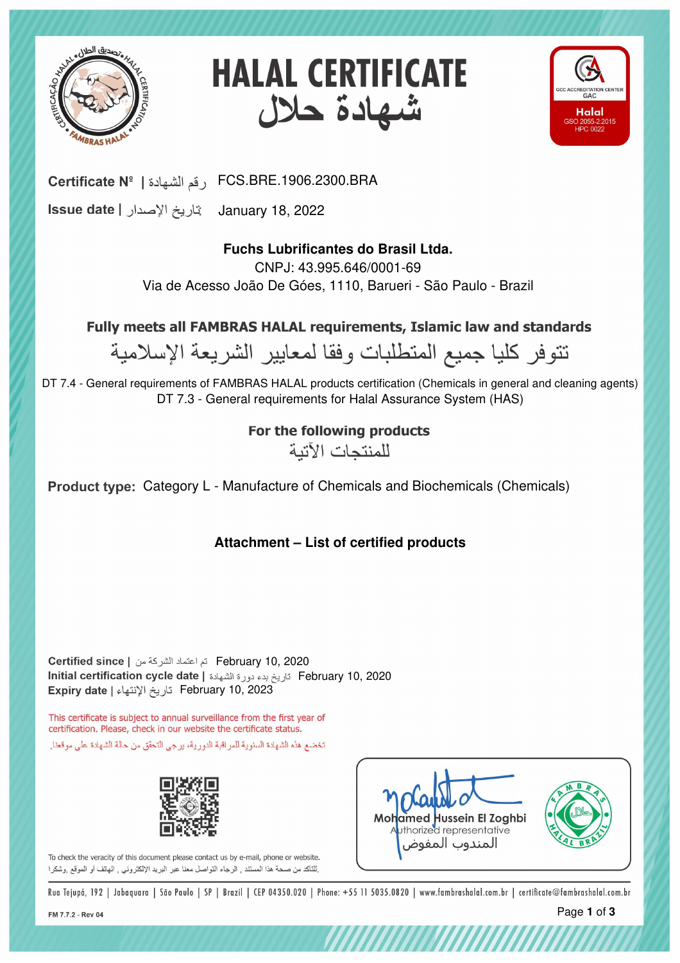





FCS.BRE.1906.2300.BRA رقم الشهادة | Certificate Nº

January 18, 2022

# **Fuchs Lubrificantes do Brasil Ltda.**

CNPJ: 43.995.646/0001-69 Via de Acesso João De Góes, 1110, Barueri - São Paulo - Brazil

Fully meets all FAMBRAS HALAL requirements, Islamic law and standards

نتوفر كليا جميع المتطلبات وفقا لمعايير الشريعة الإسلامية

DT 7.4 - General requirements of FAMBRAS HALAL products certification (Chemicals in general and cleaning agents) DT 7.3 - General requirements for Halal Assurance System (HAS)

# For the following products

للمنتحات الآتية

Product type: Category L - Manufacture of Chemicals and Biochemicals (Chemicals)

**Attachment – List of certified products**

February 10, 2023 February 10, 2020 February 10, 2020

This certificate is subject to annual surveillance from the first year of certification. Please, check in our website the certificate status. تخضع هذه الشهادة السنوية للمراقبة الدورية، برجي التحقق من حالة الشهادة على موقعنا.



To check the veracity of this document please contact us by e-mail, phone or website. للتأكد من صحة هذا المستند , الرجاء التواصل معنا عبر البريد الإلكتروني , الهاتف أو الموقع ,وشكرا



,,,,,,,,,,,,,,,,,,,,,,,

Rua Tejupá, 192 | Jabaquara | São Paulo | SP | Brazil | CEP 04350.020 | Phone: +55 11 5035.0820 | www.fambrashalal.com.br | certificate@fambrashalal.com.br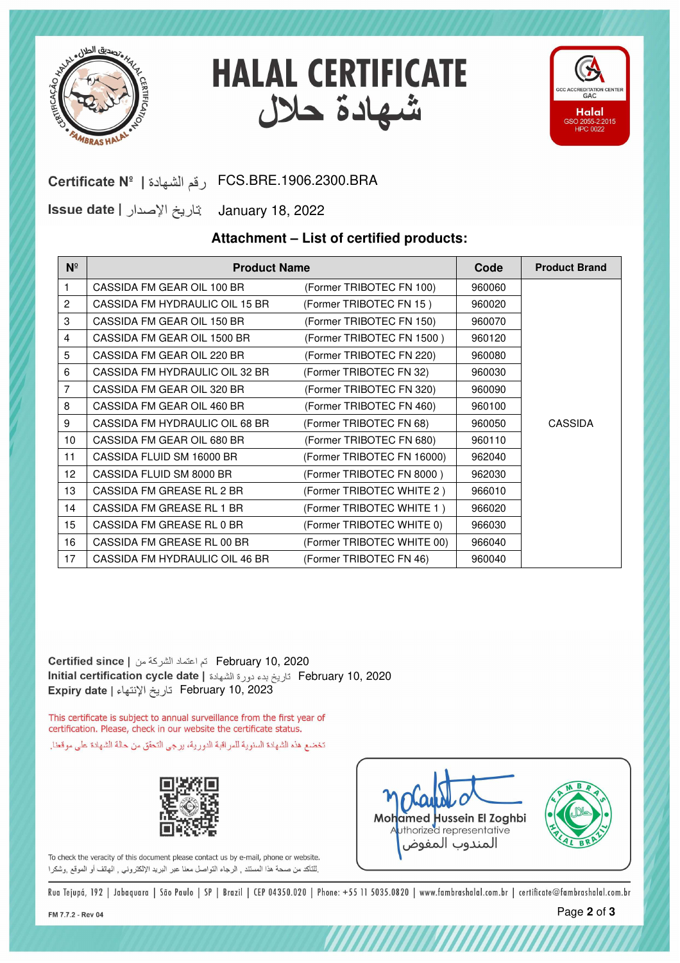





### FCS.BRE.1906.2300.BRA رقم الشهادة | Certificate Nº

January 18, 2022

#### **Attachment – List of certified products:**

| $N^{\circ}$    | <b>Product Name</b>            |                            | Code   | <b>Product Brand</b> |
|----------------|--------------------------------|----------------------------|--------|----------------------|
| 1.             | CASSIDA FM GEAR OIL 100 BR     | (Former TRIBOTEC FN 100)   | 960060 |                      |
| 2              | CASSIDA FM HYDRAULIC OIL 15 BR | (Former TRIBOTEC FN 15)    | 960020 |                      |
| 3              | CASSIDA FM GEAR OIL 150 BR     | (Former TRIBOTEC FN 150)   | 960070 |                      |
| 4              | CASSIDA FM GEAR OIL 1500 BR    | (Former TRIBOTEC FN 1500)  | 960120 |                      |
| 5              | CASSIDA FM GFAR OIL 220 BR     | (Former TRIBOTEC FN 220)   | 960080 |                      |
| 6              | CASSIDA FM HYDRAULIC OIL 32 BR | (Former TRIBOTEC FN 32)    | 960030 |                      |
| $\overline{7}$ | CASSIDA FM GFAR OIL 320 BR     | (Former TRIBOTEC FN 320)   | 960090 |                      |
| 8              | CASSIDA FM GEAR OIL 460 BR     | (Former TRIBOTEC FN 460)   | 960100 |                      |
| 9              | CASSIDA FM HYDRAULIC OIL 68 BR | (Former TRIBOTEC FN 68)    | 960050 | <b>CASSIDA</b>       |
| 10             | CASSIDA FM GEAR OIL 680 BR     | (Former TRIBOTEC FN 680)   | 960110 |                      |
| 11             | CASSIDA FLUID SM 16000 BR      | (Former TRIBOTEC FN 16000) | 962040 |                      |
| 12             | CASSIDA FLUID SM 8000 BR       | (Former TRIBOTEC FN 8000)  | 962030 |                      |
| 13             | CASSIDA FM GREASE RL 2 BR      | (Former TRIBOTEC WHITE 2)  | 966010 |                      |
| 14             | CASSIDA FM GREASE RL 1 BR      | (Former TRIBOTEC WHITE 1)  | 966020 |                      |
| 15             | CASSIDA FM GREASE RL 0 BR      | (Former TRIBOTEC WHITE 0)  | 966030 |                      |
| 16             | CASSIDA FM GREASE RL 00 BR     | (Former TRIBOTEC WHITE 00) | 966040 |                      |
| 17             | CASSIDA FM HYDRAULIC OIL 46 BR | (Former TRIBOTEC FN 46)    | 960040 |                      |

February 10, 2023 February 10, 2020 February 10, 2020

This certificate is subject to annual surveillance from the first year of certification. Please, check in our website the certificate status. تخضع هذه الشهادة السنوية للمراقبة الدورية، يرجى التحقق من حالة الشهادة على موقعنا.



To check the veracity of this document please contact us by e-mail, phone or website. لِلتَاكِد من صحة هذا المستند , الرجاء التواصل معنا عبر البريد الإلكترونـي , الـهاتف أو الموقع ,وشكرا



,,,,,,,,,,,,,,,,,,,,,

Rua Tejupá, 192 | Jabaquara | São Paulo | SP | Brazil | CEP 04350.020 | Phone: +55 11 5035.0820 | www.fambrashalal.com.br | certificate@fambrashalal.com.br